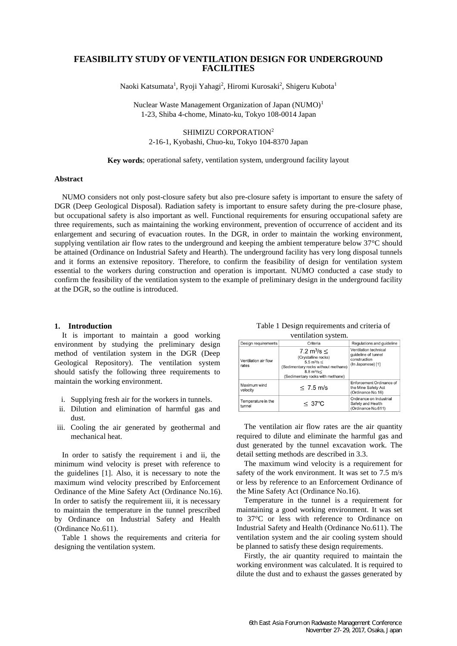# **FEASIBILITY STUDY OF VENTILATION DESIGN FOR UNDERGROUND FACILITIES**

Naoki Katsumata<sup>1</sup>, Ryoji Yahagi<sup>2</sup>, Hiromi Kurosaki<sup>2</sup>, Shigeru Kubota<sup>1</sup>

Nuclear Waste Management Organization of Japan (NUMO)<sup>1</sup> 1-23, Shiba 4-chome, Minato-ku, Tokyo 108-0014 Japan

SHIMIZU CORPORATION<sup>2</sup> 2-16-1, Kyobashi, Chuo-ku, Tokyo 104-8370 Japan

### **Key words**; operational safety, ventilation system, underground facility layout

### **Abstract**

NUMO considers not only post-closure safety but also pre-closure safety is important to ensure the safety of DGR (Deep Geological Disposal). Radiation safety is important to ensure safety during the pre-closure phase, but occupational safety is also important as well. Functional requirements for ensuring occupational safety are three requirements, such as maintaining the working environment, prevention of occurrence of accident and its enlargement and securing of evacuation routes. In the DGR, in order to maintain the working environment, supplying ventilation air flow rates to the underground and keeping the ambient temperature below 37°C should be attained (Ordinance on Industrial Safety and Hearth). The underground facility has very long disposal tunnels and it forms an extensive repository. Therefore, to confirm the feasibility of design for ventilation system essential to the workers during construction and operation is important. NUMO conducted a case study to confirm the feasibility of the ventilation system to the example of preliminary design in the underground facility at the DGR, so the outline is introduced.

### **1. Introduction**

It is important to maintain a good working environment by studying the preliminary design method of ventilation system in the DGR (Deep Geological Repository). The ventilation system should satisfy the following three requirements to maintain the working environment.

- i. Supplying fresh air for the workers in tunnels.
- ii. Dilution and elimination of harmful gas and dust.
- iii. Cooling the air generated by geothermal and mechanical heat.

In order to satisfy the requirement i and ii, the minimum wind velocity is preset with reference to the guidelines [1]. Also, it is necessary to note the maximum wind velocity prescribed by Enforcement Ordinance of the Mine Safety Act (Ordinance No.16). In order to satisfy the requirement iii, it is necessary to maintain the temperature in the tunnel prescribed by Ordinance on Industrial Safety and Health (Ordinance No.611).

Table 1 shows the requirements and criteria for designing the ventilation system.

| Table 1 Design requirements and criteria of |
|---------------------------------------------|
| ventilation system.                         |

| Design requirements           | Criteria                                                                                                                                                                                        | Regulations and guideline                                                         |  |
|-------------------------------|-------------------------------------------------------------------------------------------------------------------------------------------------------------------------------------------------|-----------------------------------------------------------------------------------|--|
| Ventilation air flow<br>rates | 7.2 m <sup>3</sup> /s $\leq$<br>(Crystalline rocks)<br>$5.5 \text{ m}^3/\text{s} \leq$<br>(Sedimentary rocks without methane)<br>$8.8 \text{ m}^3/\text{s}$<br>(Sedimentary rocks with methane) | Ventilation technical<br>quideline of tunnel<br>construction<br>(In Japanese) [1] |  |
| Maximum wind<br>velocity      | $\leq 7.5$ m/s                                                                                                                                                                                  | Enforcement Ordinance of<br>the Mine Safety Act<br>(Ordinance No.16)              |  |
| Temperature in the<br>tunnel  | $\leq$ 37°C                                                                                                                                                                                     | Ordinance on Industrial<br>Safety and Health<br>(Ordinance No.611)                |  |

The ventilation air flow rates are the air quantity required to dilute and eliminate the harmful gas and dust generated by the tunnel excavation work. The detail setting methods are described in 3.3.

The maximum wind velocity is a requirement for safety of the work environment. It was set to 7.5 m/s or less by reference to an Enforcement Ordinance of the Mine Safety Act (Ordinance No.16).

Temperature in the tunnel is a requirement for maintaining a good working environment. It was set to 37°C or less with reference to Ordinance on Industrial Safety and Health (Ordinance No.611). The ventilation system and the air cooling system should be planned to satisfy these design requirements.

Firstly, the air quantity required to maintain the working environment was calculated. It is required to dilute the dust and to exhaust the gasses generated by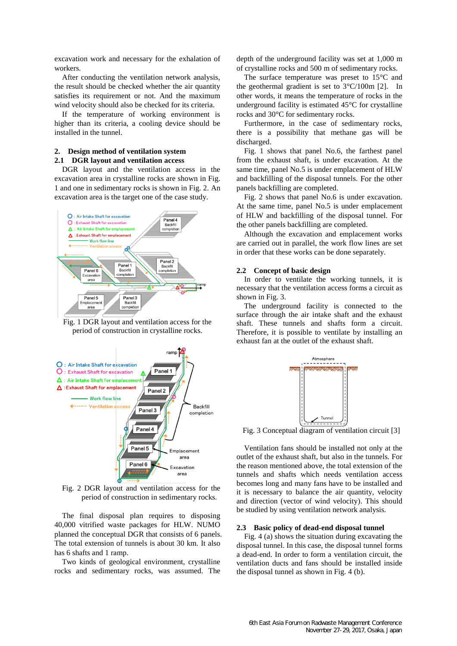excavation work and necessary for the exhalation of workers.

After conducting the ventilation network analysis, the result should be checked whether the air quantity satisfies its requirement or not. And the maximum wind velocity should also be checked for its criteria.

If the temperature of working environment is higher than its criteria, a cooling device should be installed in the tunnel.

## **2. Design method of ventilation system 2.1 DGR layout and ventilation access**

DGR layout and the ventilation access in the excavation area in crystalline rocks are shown in Fig. 1 and one in sedimentary rocks is shown in Fig. 2. An excavation area is the target one of the case study.



Fig. 1 DGR layout and ventilation access for the period of construction in crystalline rocks.



Fig. 2 DGR layout and ventilation access for the period of construction in sedimentary rocks.

The final disposal plan requires to disposing 40,000 vitrified waste packages for HLW. NUMO planned the conceptual DGR that consists of 6 panels. The total extension of tunnels is about 30 km. It also has 6 shafts and 1 ramp.

Two kinds of geological environment, crystalline rocks and sedimentary rocks, was assumed. The depth of the underground facility was set at 1,000 m of crystalline rocks and 500 m of sedimentary rocks.

The surface temperature was preset to 15°C and the geothermal gradient is set to 3°C/100m [2]. In other words, it means the temperature of rocks in the underground facility is estimated 45°C for crystalline rocks and 30°C for sedimentary rocks.

Furthermore, in the case of sedimentary rocks, there is a possibility that methane gas will be discharged.

Fig. 1 shows that panel No.6, the farthest panel from the exhaust shaft, is under excavation. At the same time, panel No.5 is under emplacement of HLW and backfilling of the disposal tunnels. For the other panels backfilling are completed.

Fig. 2 shows that panel No.6 is under excavation. At the same time, panel No.5 is under emplacement of HLW and backfilling of the disposal tunnel. For the other panels backfilling are completed.

Although the excavation and emplacement works are carried out in parallel, the work flow lines are set in order that these works can be done separately.

#### **2.2 Concept of basic design**

In order to ventilate the working tunnels, it is necessary that the ventilation access forms a circuit as shown in Fig. 3.

The underground facility is connected to the surface through the air intake shaft and the exhaust shaft. These tunnels and shafts form a circuit. Therefore, it is possible to ventilate by installing an exhaust fan at the outlet of the exhaust shaft.



Fig. 3 Conceptual diagram of ventilation circuit [3]

Ventilation fans should be installed not only at the outlet of the exhaust shaft, but also in the tunnels. For the reason mentioned above, the total extension of the tunnels and shafts which needs ventilation access becomes long and many fans have to be installed and it is necessary to balance the air quantity, velocity and direction (vector of wind velocity). This should be studied by using ventilation network analysis.

#### **2.3 Basic policy of dead-end disposal tunnel**

Fig. 4 (a) shows the situation during excavating the disposal tunnel. In this case, the disposal tunnel forms a dead-end. In order to form a ventilation circuit, the ventilation ducts and fans should be installed inside the disposal tunnel as shown in Fig. 4 (b).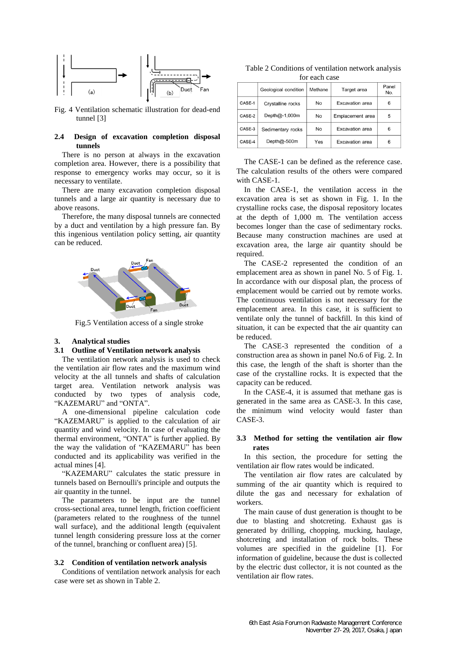

Fig. 4 Ventilation schematic illustration for dead-end tunnel [3]

### **2.4 Design of excavation completion disposal tunnels**

There is no person at always in the excavation completion area. However, there is a possibility that response to emergency works may occur, so it is necessary to ventilate.

There are many excavation completion disposal tunnels and a large air quantity is necessary due to above reasons.

Therefore, the many disposal tunnels are connected by a duct and ventilation by a high pressure fan. By this ingenious ventilation policy setting, air quantity can be reduced.



Fig.5 Ventilation access of a single stroke

#### **3. Analytical studies**

## **3.1 Outline of Ventilation network analysis**

The ventilation network analysis is used to check the ventilation air flow rates and the maximum wind velocity at the all tunnels and shafts of calculation target area. Ventilation network analysis was conducted by two types of analysis code, "KAZEMARU" and "ONTA".

A one-dimensional pipeline calculation code "KAZEMARU" is applied to the calculation of air quantity and wind velocity. In case of evaluating the thermal environment, "ONTA" is further applied. By the way the validation of "KAZEMARU" has been conducted and its applicability was verified in the actual mines [4].

"KAZEMARU" calculates the static pressure in tunnels based on Bernoulli's principle and outputs the air quantity in the tunnel.

The parameters to be input are the tunnel cross-sectional area, tunnel length, friction coefficient (parameters related to the roughness of the tunnel wall surface), and the additional length (equivalent tunnel length considering pressure loss at the corner of the tunnel, branching or confluent area) [5].

#### **3.2 Condition of ventilation network analysis**

Conditions of ventilation network analysis for each case were set as shown in Table 2.

Table 2 Conditions of ventilation network analysis for each case

|        | Geological condition | Methane | Target area      | Panel<br>No. |
|--------|----------------------|---------|------------------|--------------|
| CASE-1 | Crystalline rocks    | No      | Excavation area  | 6            |
| CASE-2 | Depth@-1,000m        | No      | Emplacement area | 5            |
| CASE-3 | Sedimentary rocks    | No      | Excavation area  | 6            |
| CASE-4 | Depth $@-500m$       | Yes     | Excavation area  | 6            |

The CASE-1 can be defined as the reference case. The calculation results of the others were compared with CASE-1.

In the CASE-1, the ventilation access in the excavation area is set as shown in Fig. 1. In the crystalline rocks case, the disposal repository locates at the depth of 1,000 m. The ventilation access becomes longer than the case of sedimentary rocks. Because many construction machines are used at excavation area, the large air quantity should be required.

The CASE-2 represented the condition of an emplacement area as shown in panel No. 5 of Fig. 1. In accordance with our disposal plan, the process of emplacement would be carried out by remote works. The continuous ventilation is not necessary for the emplacement area. In this case, it is sufficient to ventilate only the tunnel of backfill. In this kind of situation, it can be expected that the air quantity can be reduced.

The CASE-3 represented the condition of a construction area as shown in panel No.6 of Fig. 2. In this case, the length of the shaft is shorter than the case of the crystalline rocks. It is expected that the capacity can be reduced.

In the CASE-4, it is assumed that methane gas is generated in the same area as CASE-3. In this case, the minimum wind velocity would faster than CASE-3.

## **3.3 Method for setting the ventilation air flow rates**

In this section, the procedure for setting the ventilation air flow rates would be indicated.

The ventilation air flow rates are calculated by summing of the air quantity which is required to dilute the gas and necessary for exhalation of workers.

The main cause of dust generation is thought to be due to blasting and shotcreting. Exhaust gas is generated by drilling, chopping, mucking, haulage, shotcreting and installation of rock bolts. These volumes are specified in the guideline [1]. For information of guideline, because the dust is collected by the electric dust collector, it is not counted as the ventilation air flow rates.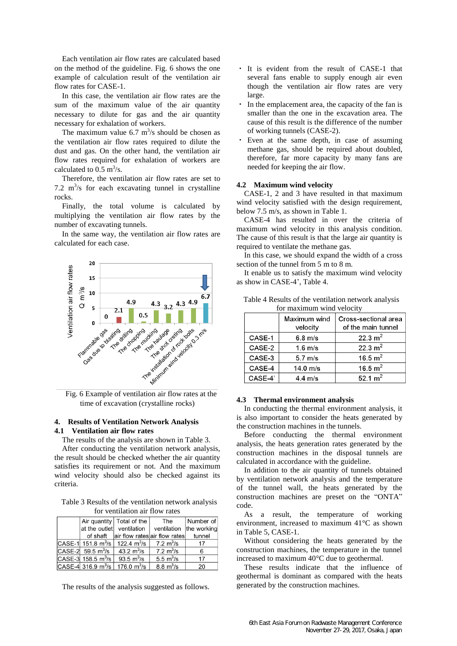Each ventilation air flow rates are calculated based on the method of the guideline. Fig. 6 shows the one example of calculation result of the ventilation air flow rates for CASE-1.

In this case, the ventilation air flow rates are the sum of the maximum value of the air quantity necessary to dilute for gas and the air quantity necessary for exhalation of workers.

The maximum value 6.7  $\text{m}^3\text{/s}$  should be chosen as the ventilation air flow rates required to dilute the dust and gas. On the other hand, the ventilation air flow rates required for exhalation of workers are calculated to  $0.5 \text{ m}^3/\text{s}$ .

Therefore, the ventilation air flow rates are set to 7.2  $\text{m}^3\text{/s}$  for each excavating tunnel in crystalline rocks.

Finally, the total volume is calculated by multiplying the ventilation air flow rates by the number of excavating tunnels.

In the same way, the ventilation air flow rates are calculated for each case.



time of excavation (crystalline rocks)

## **4. Results of Ventilation Network Analysis 4.1 Ventilation air flow rates**

The results of the analysis are shown in Table 3.

After conducting the ventilation network analysis, the result should be checked whether the air quantity satisfies its requirement or not. And the maximum wind velocity should also be checked against its criteria.

Table 3 Results of the ventilation network analysis for ventilation air flow rates

|                                    | Air quantity   Total of the                            | The                           | Number of |
|------------------------------------|--------------------------------------------------------|-------------------------------|-----------|
|                                    | at the outlet ventilation                              | ventilation the working       |           |
|                                    | of shaft air flow rates air flow rates                 |                               | tunnel    |
|                                    | CASE-1 151.8 m <sup>3</sup> /s 122.4 m <sup>3</sup> /s | $7.2 \mathrm{m}^3/\mathrm{s}$ | 17        |
| $CASE-2$ 59.5 m <sup>3</sup> /s    | 43.2 $\rm m^3/s$                                       | 7.2 m <sup>3</sup> /s         | 6         |
| $ CASE-3 $ 158.5 m <sup>3</sup> /s | 93.5 $m^3/s$                                           | 5.5 $m^3/s$                   | 17        |
| CASE-4 316.9 $m^3/s$               | 176.0 m <sup>3</sup> /s                                | $8.8 \mathrm{m}^3/\mathrm{s}$ | 20        |

The results of the analysis suggested as follows.

- It is evident from the result of CASE-1 that several fans enable to supply enough air even though the ventilation air flow rates are very large.
- In the emplacement area, the capacity of the fan is smaller than the one in the excavation area. The cause of this result is the difference of the number of working tunnels (CASE-2).
- ・ Even at the same depth, in case of assuming methane gas, should be required about doubled, therefore, far more capacity by many fans are needed for keeping the air flow.

#### **4.2 Maximum wind velocity**

CASE-1, 2 and 3 have resulted in that maximum wind velocity satisfied with the design requirement, below 7.5 m/s, as shown in Table 1.

CASE-4 has resulted in over the criteria of maximum wind velocity in this analysis condition. The cause of this result is that the large air quantity is required to ventilate the methane gas.

In this case, we should expand the width of a cross section of the tunnel from 5 m to 8 m.

It enable us to satisfy the maximum wind velocity as show in CASE-4', Table 4.

| TOI IIIAXIIIIUIII WIIIU VEIOCITY |                          |                                            |  |
|----------------------------------|--------------------------|--------------------------------------------|--|
|                                  | Maximum wind<br>velocity | Cross-sectional area<br>of the main tunnel |  |
| CASE-1                           | $6.8 \text{ m/s}$        | 22.3 $m2$                                  |  |
| CASE-2                           | $1.6 \text{ m/s}$        | 22.3 $m2$                                  |  |
| CASE-3                           | $5.7 \text{ m/s}$        | 16.5 $m^2$                                 |  |
| CASE-4                           | 14.0 m/s                 | 16.5 $m2$                                  |  |
| CASE-4'                          | $4.4 \text{ m/s}$        | 52.1 $m^2$                                 |  |

Table 4 Results of the ventilation network analysis for maximum wind velocity

### **4.3 Thermal environment analysis**

In conducting the thermal environment analysis, it is also important to consider the heats generated by the construction machines in the tunnels.

Before conducting the thermal environment analysis, the heats generation rates generated by the construction machines in the disposal tunnels are calculated in accordance with the guideline.

In addition to the air quantity of tunnels obtained by ventilation network analysis and the temperature of the tunnel wall, the heats generated by the construction machines are preset on the "ONTA" code.

As a result, the temperature of working environment, increased to maximum 41°C as shown in Table 5, CASE-1.

Without considering the heats generated by the construction machines, the temperature in the tunnel increased to maximum 40°C due to geothermal.

These results indicate that the influence of geothermal is dominant as compared with the heats generated by the construction machines.